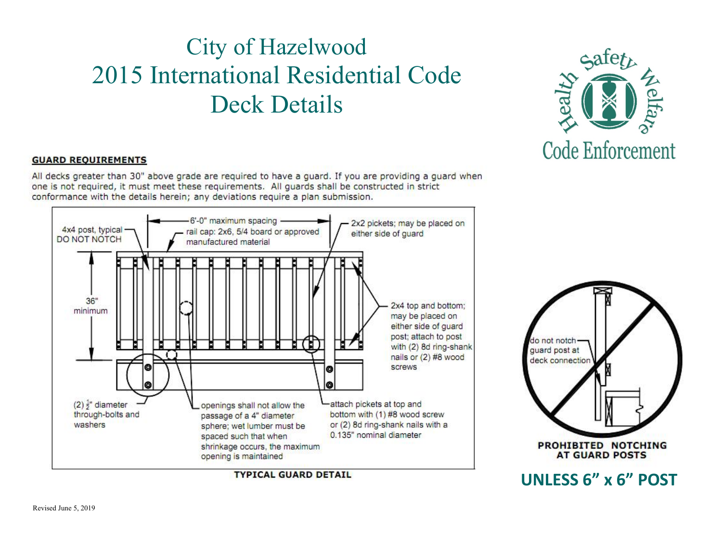## City of Hazelwood 2015 International Residential Code Deck Details



#### **GUARD REQUIREMENTS**

All decks greater than 30" above grade are required to have a guard. If you are providing a guard when one is not required, it must meet these requirements. All quards shall be constructed in strict conformance with the details herein; any deviations require a plan submission.



**UNLESS 6" x 6" POST**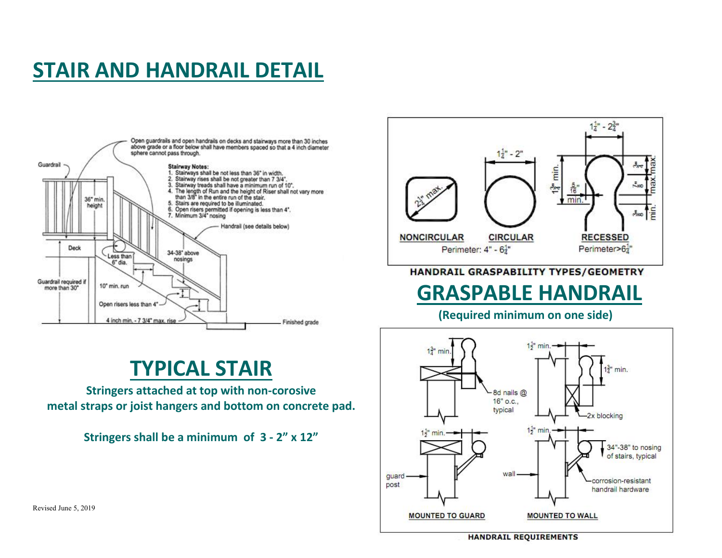## **STAIR AND HANDRAIL DETAIL**



#### **TYPICAL STAIR**

**Stringers attached at top with non-corosive metal straps or joist hangers and bottom on concrete pad.**

**Stringers shall be a minimum of 3 - 2" x 12"**



HANDRAIL GRASPABILITY TYPES/GEOMETRY

# **GRASPABLE HANDRAIL (Required minimum on one side)**



Revised June 5, 2019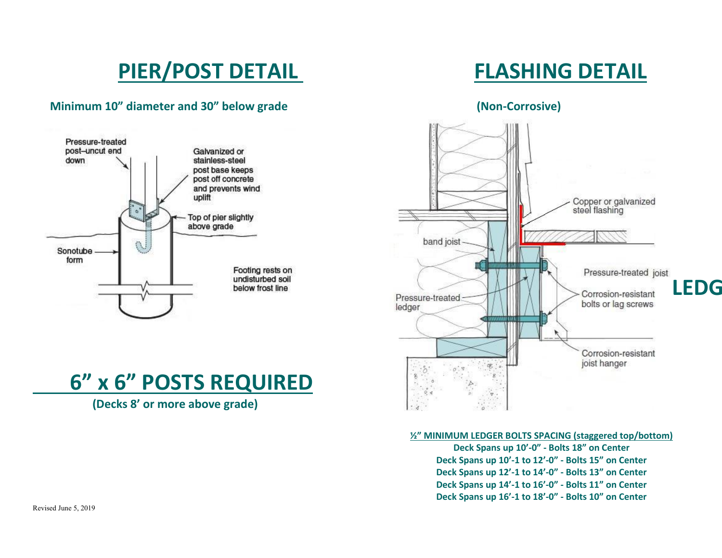## **PIER/POST DETAIL FLASHING DETAIL**

#### **Minimum 10" diameter and 30" below grade (Non-Corrosive)**







**Deck Spans up 10'-0" - Bolts 18" on Center Deck Spans up 10'-1 to 12'-0" - Bolts 15" on Center Deck Spans up 12'-1 to 14'-0" - Bolts 13" on Center Deck Spans up 14'-1 to 16'-0" - Bolts 11" on Center Deck Spans up 16'-1 to 18'-0" - Bolts 10" on Center**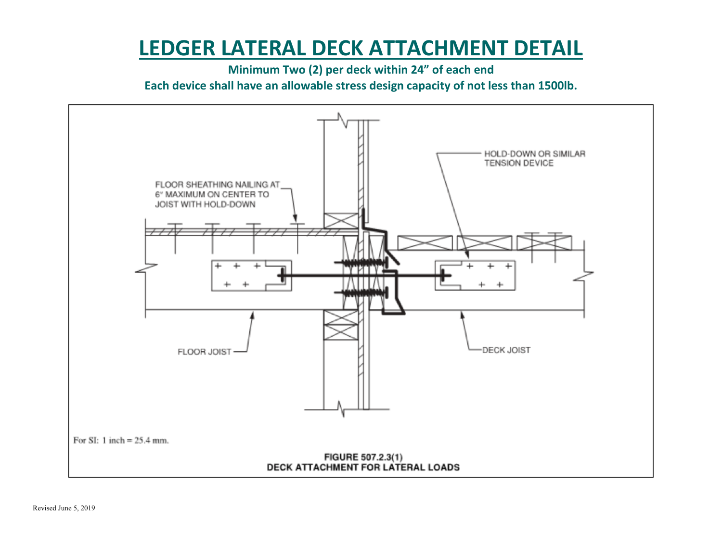### **LEDGER LATERAL DECK ATTACHMENT DETAIL**

**Minimum Two (2) per deck within 24" of each end Each device shall have an allowable stress design capacity of not less than 1500lb.**

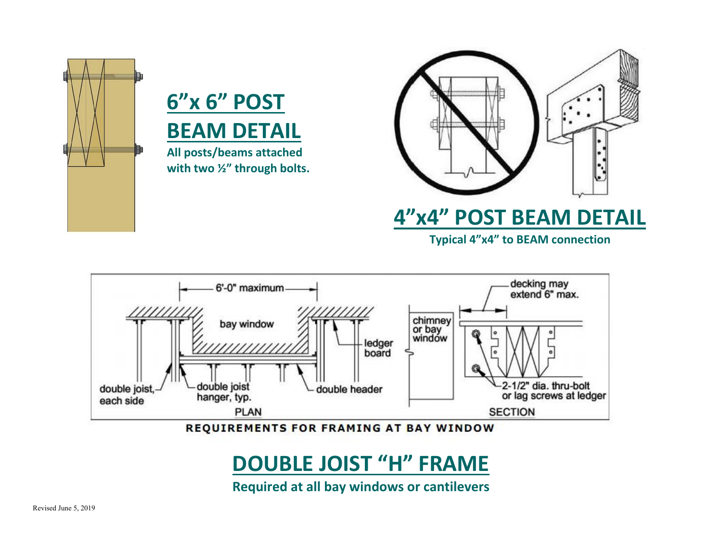





# **4"x4" POST BEAM DETAIL Typical 4"x4" to BEAM connection**



REQUIREMENTS FOR FRAMING AT BAY WINDOW

#### **DOUBLE JOIST "H" FRAME**

**Required at all bay windows or cantilevers**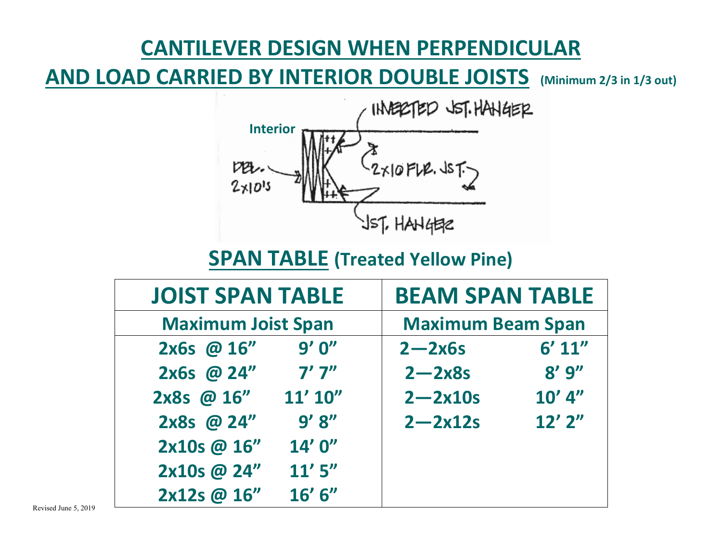### **CANTILEVER DESIGN WHEN PERPENDICULAR**

#### **AND LOAD CARRIED BY INTERIOR DOUBLE JOISTS (Minimum 2/3 in 1/3 out)**



#### **SPAN TABLE (Treated Yellow Pine)**

| <b>JOIST SPAN TABLE</b>   |            | <b>BEAM SPAN TABLE</b>   |             |
|---------------------------|------------|--------------------------|-------------|
| <b>Maximum Joist Span</b> |            | <b>Maximum Beam Span</b> |             |
| 2x6s @ 16"                | 9'0''      | $2 - 2x$ 6s              | 6' 11''     |
| 2x6s @ 24"                | $7'$ $7''$ | $2 - 2x8s$               | 8'9''       |
| 2x8s @ 16"                | 11' 10''   | $2 - 2x10s$              | $10'$ 4"    |
| 2x8s @ 24"                | 9'8''      | $2 - 2x12s$              | $12'$ $2''$ |
| 2x10s @ 16"               | 14'0''     |                          |             |
| 2x10s @ 24"               | 11'5''     |                          |             |
| 2x12s @ 16"               | 16' 6''    |                          |             |